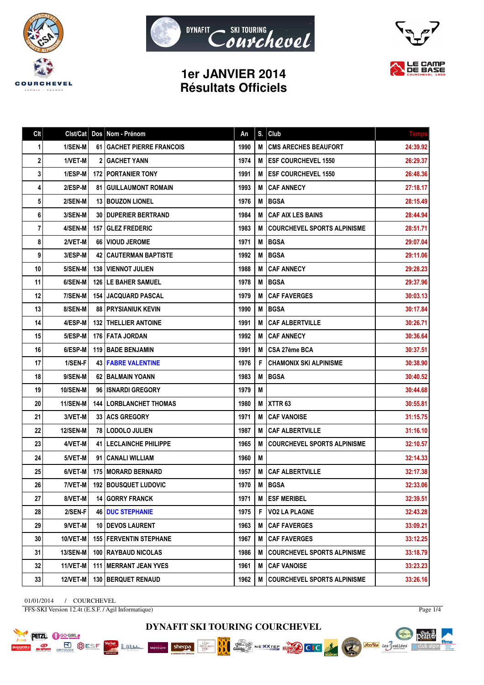





## **1er JANVIER 2014 Résultats Officiels**

| Clt |                 |      | Cist/Cat   Dos   Nom - Prénom   | An   | S. | Club                               | <b>Temps</b> |
|-----|-----------------|------|---------------------------------|------|----|------------------------------------|--------------|
| 1   | 1/SEN-M         |      | 61 GACHET PIERRE FRANCOIS       | 1990 | М  | <b>CMS ARECHES BEAUFORT</b>        | 24:39.92     |
| 2   | 1/VET-M         |      | <b>2 I GACHET YANN</b>          | 1974 | M  | <b>ESF COURCHEVEL 1550</b>         | 26:29.37     |
| 3   | 1/ESP-M         |      | <b>172   PORTANIER TONY</b>     | 1991 | M  | <b>ESF COURCHEVEL 1550</b>         | 26:48.36     |
| 4   | 2/ESP-M         | 81 I | <b>GUILLAUMONT ROMAIN</b>       | 1993 | M  | <b>CAF ANNECY</b>                  | 27:18.17     |
| 5   | 2/SEN-M         |      | 13 BOUZON LIONEL                | 1976 | М  | <b>BGSA</b>                        | 28:15.49     |
| 6   | 3/SEN-M         |      | <b>30   DUPERIER BERTRAND</b>   | 1984 | М  | <b>CAF AIX LES BAINS</b>           | 28:44.94     |
| 7   | 4/SEN-M         |      | 157 GLEZ FREDERIC               | 1983 | M  | <b>COURCHEVEL SPORTS ALPINISME</b> | 28:51.71     |
| 8   | 2/VET-M         |      | 66   VIOUD JEROME               | 1971 | М  | <b>BGSA</b>                        | 29:07.04     |
| 9   | 3/ESP-M         |      | <b>42 CAUTERMAN BAPTISTE</b>    | 1992 | M  | <b>BGSA</b>                        | 29:11.06     |
| 10  | 5/SEN-M         |      | <b>138   VIENNOT JULIEN</b>     | 1988 | М  | <b>CAF ANNECY</b>                  | 29:28.23     |
| 11  | 6/SEN-M         |      | <b>126   LE BAHER SAMUEL</b>    | 1978 | M  | <b>BGSA</b>                        | 29:37.96     |
| 12  | 7/SEN-M         |      | <b>154 JACQUARD PASCAL</b>      | 1979 | M  | <b>CAF FAVERGES</b>                | 30:03.13     |
| 13  | 8/SEN-M         |      | <b>88   PRYSIANIUK KEVIN</b>    | 1990 | M  | <b>BGSA</b>                        | 30:17.84     |
| 14  | 4/ESP-M         |      | <b>132 I THELLIER ANTOINE</b>   | 1991 | М  | <b>CAF ALBERTVILLE</b>             | 30:26.71     |
| 15  | 5/ESP-M         |      | <b>176   FATA JORDAN</b>        | 1992 | M  | <b>CAF ANNECY</b>                  | 30:36.64     |
| 16  | 6/ESP-M         |      | 119   BADE BENJAMIN             | 1991 | М  | CSA 27ème BCA                      | 30:37.51     |
| 17  | 1/SEN-F         |      | <b>43   FABRE VALENTINE</b>     | 1976 | F  | <b>CHAMONIX SKI ALPINISME</b>      | 30:38.90     |
| 18  | 9/SEN-M         |      | 62 I BALMAIN YOANN              | 1983 | М  | <b>BGSA</b>                        | 30:40.52     |
| 19  | 10/SEN-M        |      | 96 ISNARDI GREGORY              | 1979 | М  |                                    | 30:44.68     |
| 20  | 11/SEN-M        |      | <b>144   LORBLANCHET THOMAS</b> | 1980 | М  | XTTR <sub>63</sub>                 | 30:55.81     |
| 21  | 3/VET-M         |      | <b>33 LACS GREGORY</b>          | 1971 | M  | <b>CAF VANOISE</b>                 | 31:15.75     |
| 22  | <b>12/SEN-M</b> |      | 78   LODOLO JULIEN              | 1987 | M  | <b>CAF ALBERTVILLE</b>             | 31:16.10     |
| 23  | 4/VET-M         |      | <b>41   LECLAINCHE PHILIPPE</b> | 1965 | M  | <b>COURCHEVEL SPORTS ALPINISME</b> | 32:10.57     |
| 24  | 5/VET-M         |      | 91   CANALI WILLIAM             | 1960 | M  |                                    | 32:14.33     |
| 25  | 6/VET-M         |      | <b>175 MORARD BERNARD</b>       | 1957 | М  | <b>CAF ALBERTVILLE</b>             | 32:17.38     |
| 26  | 7/VET-M         |      | <b>192 BOUSQUET LUDOVIC</b>     | 1970 | M  | <b>BGSA</b>                        | 32:33.06     |
| 27  | 8/VET-M         |      | 14 GORRY FRANCK                 | 1971 | M  | <b>ESF MERIBEL</b>                 | 32:39.51     |
| 28  | 2/SEN-F         |      | <b>46   DUC STEPHANIE</b>       | 1975 | F  | <b>VO2 LA PLAGNE</b>               | 32:43.28     |
| 29  | 9/VET-M         |      | <b>10 IDEVOS LAURENT</b>        | 1963 | M  | <b>CAF FAVERGES</b>                | 33:09.21     |
| 30  | 10/VET-M        |      | <b>155   FERVENTIN STEPHANE</b> | 1967 | M  | <b>CAF FAVERGES</b>                | 33:12.25     |
| 31  | <b>13/SEN-M</b> |      | 100   RAYBAUD NICOLAS           | 1986 | М  | <b>COURCHEVEL SPORTS ALPINISME</b> | 33:18.79     |
| 32  | 11/VET-M        |      | <b>111   MERRANT JEAN YVES</b>  | 1961 | M  | <b>CAF VANOISE</b>                 | 33:23.23     |
| 33  | <b>12/VET-M</b> |      | 130   BERQUET RENAUD            | 1962 | M  | <b>COURCHEVEL SPORTS ALPINISME</b> | 33:26.16     |

01/01/2014 / COURCHEVEL FFS-SKI Version 12.4t (E.S.F. / Agil Informatique)

**PETZL C** GO-GIRL

**POST BUSE SESF** 

Page 1/4

pearts.

itra club alpin∆

ffme

Voules des Svallées



Chez...<br>Gaulois

NEXXTEE EUROPE CIC

BBC

AME GRAND

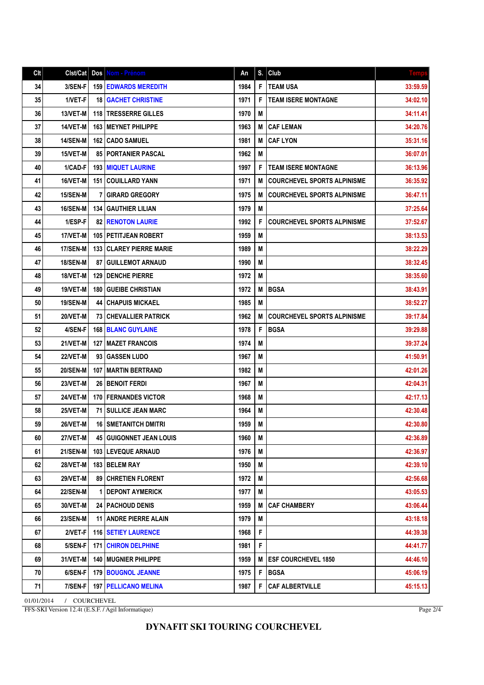## **DYNAFIT SKI TOURING COURCHEVEL**

01/01/2014 / COURCHEVEL FFS-SKI Version 12.4t (E.S.F. / Agil Informatique)

|--|--|

| Cl <sub>t</sub> |                 |     | Cist/Cat   Dos   Nom - Prénom  | An   |   | $S.$ Club                          | <b>Temps</b> |
|-----------------|-----------------|-----|--------------------------------|------|---|------------------------------------|--------------|
| 34              | 3/SEN-F         | 159 | <b>EDWARDS MEREDITH</b>        | 1984 | F | <b>TEAM USA</b>                    | 33:59.59     |
| 35              | 1/VET-F         | 18  | <b>GACHET CHRISTINE</b>        | 1971 | F | <b>TEAM ISERE MONTAGNE</b>         | 34:02.10     |
| 36              | 13/VET-M        | 118 | <b>TRESSERRE GILLES</b>        | 1970 | M |                                    | 34:11.41     |
| 37              | 14/VET-M        | 163 | <b>MEYNET PHILIPPE</b>         | 1963 | M | <b>CAF LEMAN</b>                   | 34:20.76     |
| 38              | <b>14/SEN-M</b> | 162 | CADO SAMUEL                    | 1981 | M | <b>CAF LYON</b>                    | 35:31.16     |
| 39              | 15/VET-M        |     | 85 PORTANIER PASCAL            | 1962 | M |                                    | 36:07.01     |
| 40              | 1/CAD-F         |     | <b>193 MIQUET LAURINE</b>      | 1997 | F | <b>TEAM ISERE MONTAGNE</b>         | 36:13.96     |
| 41              | 16/VET-M        |     | <b>151   COUILLARD YANN</b>    | 1971 | M | <b>COURCHEVEL SPORTS ALPINISME</b> | 36:35.92     |
| 42              | <b>15/SEN-M</b> | 7   | <b>GIRARD GREGORY</b>          | 1975 | M | <b>COURCHEVEL SPORTS ALPINISME</b> | 36:47.11     |
| 43              | 16/SEN-M        |     | <b>134   GAUTHIER LILIAN</b>   | 1979 | M |                                    | 37:25.64     |
| 44              | 1/ESP-F         | 82  | <b>RENOTON LAURIE</b>          | 1992 | F | <b>COURCHEVEL SPORTS ALPINISME</b> | 37:52.67     |
| 45              | 17/VET-M        |     | <b>105 PETITJEAN ROBERT</b>    | 1959 | M |                                    | 38:13.53     |
| 46              | <b>17/SEN-M</b> |     | 133 CLAREY PIERRE MARIE        | 1989 | M |                                    | 38:22.29     |
| 47              | <b>18/SEN-M</b> | 87  | <b>GUILLEMOT ARNAUD</b>        | 1990 | M |                                    | 38:32.45     |
| 48              | 18/VET-M        | 129 | <b>DENCHE PIERRE</b>           | 1972 | M |                                    | 38:35.60     |
| 49              | 19/VET-M        | 180 | <b>GUEIBE CHRISTIAN</b>        | 1972 | M | <b>BGSA</b>                        | 38:43.91     |
| 50              | <b>19/SEN-M</b> |     | <b>44   CHAPUIS MICKAEL</b>    | 1985 | M |                                    | 38:52.27     |
| 51              | 20/VET-M        |     | <b>73   CHEVALLIER PATRICK</b> | 1962 | M | <b>COURCHEVEL SPORTS ALPINISME</b> | 39:17.84     |
| 52              | 4/SEN-F         |     | <b>168 BLANC GUYLAINE</b>      | 1978 | F | <b>BGSA</b>                        | 39:29.88     |
| 53              | 21/VET-M        | 127 | <b>MAZET FRANCOIS</b>          | 1974 | M |                                    | 39:37.24     |
| 54              | <b>22/VET-M</b> |     | 93 GASSEN LUDO                 | 1967 | M |                                    | 41:50.91     |
| 55              | <b>20/SEN-M</b> | 107 | MARTIN BERTRAND                | 1982 | M |                                    | 42:01.26     |
| 56              | 23/VET-M        |     | <b>26 I BENOIT FERDI</b>       | 1967 | M |                                    | 42:04.31     |
| 57              | 24/VET-M        |     | <b>170   FERNANDES VICTOR</b>  | 1968 | M |                                    | 42:17.13     |
| 58              | 25/VET-M        | 71  | <b>SULLICE JEAN MARC</b>       | 1964 | M |                                    | 42:30.48     |
| 59              | 26/VET-M        | 16  | Í SMETANITCH DMITRI            | 1959 | M |                                    | 42:30.80     |
| 60              | 27/VET-M        |     | <b>45 GUIGONNET JEAN LOUIS</b> | 1960 | M |                                    | 42:36.89     |
| 61              | <b>21/SEN-M</b> |     | <b>103 LEVEQUE ARNAUD</b>      | 1976 | M |                                    | 42:36.97     |
| 62              | <b>28/VET-M</b> |     | 183 BELEM RAY                  | 1950 | M |                                    | 42:39.10     |
| 63              | <b>29/VET-M</b> |     | 89 CHRETIEN FLORENT            | 1972 | M |                                    | 42:56.68     |
| 64              | <b>22/SEN-M</b> | 1   | <b>DEPONT AYMERICK</b>         | 1977 | M |                                    | 43:05.53     |
| 65              | 30/VET-M        |     | <b>24   PACHOUD DENIS</b>      | 1959 | M | <b>CAF CHAMBERY</b>                | 43:06.44     |
| 66              | 23/SEN-M        | 11  | <b>ANDRE PIERRE ALAIN</b>      | 1979 | M |                                    | 43:18.18     |
| 67              | 2/VET-F         |     | <b>116   SETIEY LAURENCE</b>   | 1968 | F |                                    | 44:39.38     |
| 68              | 5/SEN-F         | 171 | <b>CHIRON DELPHINE</b>         | 1981 | F |                                    | 44:41.77     |
| 69              | 31/VET-M        | 140 | MUGNIER PHILIPPE               | 1959 | M | <b>ESF COURCHEVEL 1850</b>         | 44:46.10     |
| 70              | 6/SEN-F         | 179 | <b>BOUGNOL JEANNE</b>          | 1975 | F | <b>BGSA</b>                        | 45:06.19     |
| 71              | 7/SEN-F         |     | <b>197   PELLICANO MELINA</b>  | 1987 | F | <b>CAF ALBERTVILLE</b>             | 45:15.13     |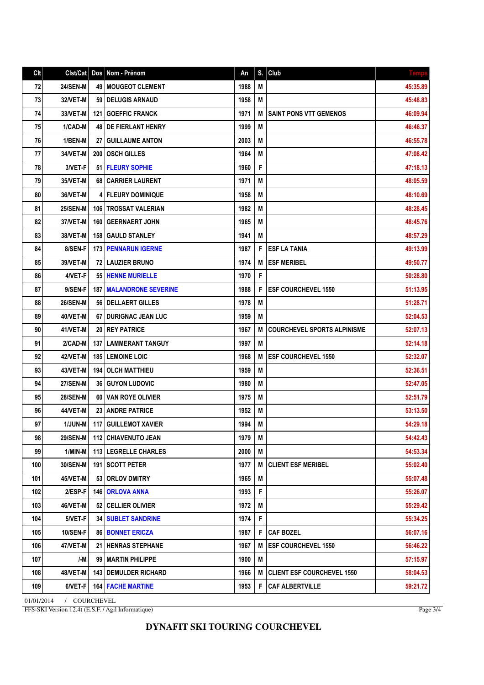## **DYNAFIT SKI TOURING COURCHEVEL**

FFS-SKI Version 12.4t (E.S.F. / Agil Informatique)

| 76  | 1/BEN-M                    |  | 27   GUILLAUME ANTON             | 2003 | M |                                    | 46:55.78 |  |
|-----|----------------------------|--|----------------------------------|------|---|------------------------------------|----------|--|
| 77  | 34/VET-M                   |  | 200   OSCH GILLES                | 1964 | M |                                    | 47:08.42 |  |
| 78  | 3/VET-F                    |  | 51   FLEURY SOPHIE               | 1960 | F |                                    | 47:18.13 |  |
| 79  | 35/VET-M                   |  | 68 CARRIER LAURENT               | 1971 | M |                                    | 48:05.59 |  |
| 80  | 36/VET-M                   |  | <b>4   FLEURY DOMINIQUE</b>      | 1958 | M |                                    | 48:10.69 |  |
| 81  | <b>25/SEN-M</b>            |  | <b>106 ITROSSAT VALERIAN</b>     | 1982 | М |                                    | 48:28.45 |  |
| 82  | 37/VET-M                   |  | 160   GEERNAERT JOHN             | 1965 | M |                                    | 48:45.76 |  |
| 83  | 38/VET-M                   |  | <b>158 GAULD STANLEY</b>         | 1941 | M |                                    | 48:57.29 |  |
| 84  | 8/SEN-F                    |  | <b>173   PENNARUN IGERNE</b>     | 1987 | F | <b>ESF LA TANIA</b>                | 49:13.99 |  |
| 85  | 39/VET-M                   |  | <b>72 I LAUZIER BRUNO</b>        | 1974 |   | <b>ESF MERIBEL</b>                 | 49:50.77 |  |
| 86  | 4/VET-F                    |  | 55   HENNE MURIELLE              | 1970 | F |                                    | 50:28.80 |  |
| 87  | 9/SEN-F                    |  | <b>187   MALANDRONE SEVERINE</b> | 1988 | F | <b>IESF COURCHEVEL 1550</b>        | 51:13.95 |  |
| 88  | <b>26/SEN-M</b>            |  | 56   DELLAERT GILLES             | 1978 | M |                                    | 51:28.71 |  |
| 89  | 40/VET-M                   |  | 67   DURIGNAC JEAN LUC           | 1959 | M |                                    | 52:04.53 |  |
| 90  | 41/VET-M                   |  | <b>20 IREY PATRICE</b>           | 1967 | М | <b>COURCHEVEL SPORTS ALPINISME</b> | 52:07.13 |  |
| 91  | 2/CAD-M                    |  | <b>137   LAMMERANT TANGUY</b>    | 1997 | M |                                    | 52:14.18 |  |
| 92  | 42/VET-M                   |  | <b>185   LEMOINE LOIC</b>        | 1968 | М | <b>ESF COURCHEVEL 1550</b>         | 52:32.07 |  |
| 93  | 43/VET-M                   |  | <b>194   OLCH MATTHIEU</b>       | 1959 | M |                                    | 52:36.51 |  |
| 94  | <b>27/SEN-M</b>            |  | <b>36 GUYON LUDOVIC</b>          | 1980 | М |                                    | 52:47.05 |  |
| 95  | <b>28/SEN-M</b>            |  | 60 VAN ROYE OLIVIER              | 1975 | М |                                    | 52:51.79 |  |
| 96  | 44/VET-M                   |  | 23 ANDRE PATRICE                 | 1952 | M |                                    | 53:13.50 |  |
| 97  | <b>1/JUN-M</b>             |  | <b>117   GUILLEMOT XAVIER</b>    | 1994 | M |                                    | 54:29.18 |  |
| 98  | <b>29/SEN-M</b>            |  | <b>112 CHIAVENUTO JEAN</b>       | 1979 | M |                                    | 54:42.43 |  |
| 99  | 1/MIN-M                    |  | 113 LEGRELLE CHARLES             | 2000 | М |                                    | 54:53.34 |  |
| 100 | 30/SEN-M                   |  | 191 SCOTT PETER                  | 1977 | М | <b>CLIENT ESF MERIBEL</b>          | 55:02.40 |  |
| 101 | 45/VET-M                   |  | 53 ORLOV DMITRY                  | 1965 | M |                                    | 55:07.48 |  |
| 102 | 2/ESP-F                    |  | <b>146 ORLOVA ANNA</b>           | 1993 | F |                                    | 55:26.07 |  |
| 103 | 46/VET-M                   |  | 52 CELLIER OLIVIER               | 1972 | M |                                    | 55:29.42 |  |
| 104 | 5/VET-F                    |  | <b>34   SUBLET SANDRINE</b>      | 1974 | F |                                    | 55:34.25 |  |
| 105 | <b>10/SEN-F</b>            |  | 86 BONNET ERICZA                 | 1987 | F | <b>CAF BOZEL</b>                   | 56:07.16 |  |
| 106 | 47/VET-M                   |  | <b>21 IHENRAS STEPHANE</b>       | 1967 | М | <b>ESF COURCHEVEL 1550</b>         | 56:46.22 |  |
| 107 | /-M                        |  | 99 MARTIN PHILIPPE               | 1900 | M |                                    | 57:15.97 |  |
| 108 | 48/VET-M                   |  | <b>143   DEMULDER RICHARD</b>    | 1966 | M | <b>CLIENT ESF COURCHEVEL 1550</b>  | 58:04.53 |  |
| 109 | 6/VET-F                    |  | <b>164 FACHE MARTINE</b>         | 1953 | F | <b>CAF ALBERTVILLE</b>             | 59:21.72 |  |
|     | 01/01/2014<br>/ COURCHEVEL |  |                                  |      |   |                                    |          |  |

72 24/SEN-M 49 MOUGEOT CLEMENT 1988 M 45:35.89 73 32/VET-M 59 DELUGIS ARNAUD 1958 M 45:48.83 45:48.83 AM 74 33/VET-M 121 GOEFFIC FRANCK 1971 M SAINT PONS VTT GEMENOS 1971 75 | 1/CAD-M | 48 | DE FIERLANT HENRY | 1999 | M | 1999 | M | 46:46.37

Clt Clst/Cat Dos Nom - Prénom An S. Club